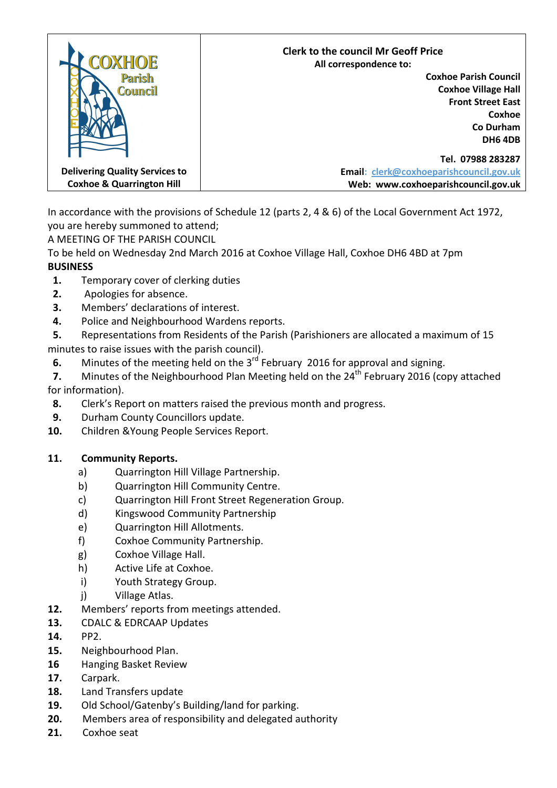| COXHOE<br><b>Parish</b><br><b>Council</b> | <b>Clerk to the council Mr Geoff Price</b><br>All correspondence to:<br><b>Coxhoe Parish Council</b><br><b>Coxhoe Village Hall</b><br><b>Front Street East</b><br>Coxhoe<br>Co Durham<br><b>DH6 4DB</b> |
|-------------------------------------------|---------------------------------------------------------------------------------------------------------------------------------------------------------------------------------------------------------|
|                                           | Tel. 07988 283287                                                                                                                                                                                       |
| <b>Delivering Quality Services to</b>     | Email: clerk@coxhoeparishcouncil.gov.uk                                                                                                                                                                 |
| <b>Coxhoe &amp; Quarrington Hill</b>      | Web: www.coxhoeparishcouncil.gov.uk                                                                                                                                                                     |

In accordance with the provisions of Schedule 12 (parts 2, 4 & 6) of the Local Government Act 1972, you are hereby summoned to attend;

A MEETING OF THE PARISH COUNCIL

To be held on Wednesday 2nd March 2016 at Coxhoe Village Hall, Coxhoe DH6 4BD at 7pm **BUSINESS** 

- **1.** Temporary cover of clerking duties
- **2.** Apologies for absence.
- **3.** Members' declarations of interest.
- **4.** Police and Neighbourhood Wardens reports.

 **5.** Representations from Residents of the Parish (Parishioners are allocated a maximum of 15 minutes to raise issues with the parish council).

- **6.** Minutes of the meeting held on the 3<sup>rd</sup> February 2016 for approval and signing.
- **7.** Minutes of the Neighbourhood Plan Meeting held on the 24<sup>th</sup> February 2016 (copy attached for information).
- **8.** Clerk's Report on matters raised the previous month and progress.
- **9.** Durham County Councillors update.
- **10.** Children &Young People Services Report.

# **11. Community Reports.**

- a) Quarrington Hill Village Partnership.
- b) Quarrington Hill Community Centre.
- c) Quarrington Hill Front Street Regeneration Group.
- d) Kingswood Community Partnership
- e) Quarrington Hill Allotments.
- f) Coxhoe Community Partnership.
- g) Coxhoe Village Hall.
- h) Active Life at Coxhoe.
- i) Youth Strategy Group.
- j) Village Atlas.
- **12.** Members' reports from meetings attended.
- **13.** CDALC & EDRCAAP Updates
- **14.** PP2.
- **15.** Neighbourhood Plan.
- **16** Hanging Basket Review
- **17.** Carpark.
- **18.** Land Transfers update
- **19.** Old School/Gatenby's Building/land for parking.
- **20.** Members area of responsibility and delegated authority
- **21.** Coxhoe seat